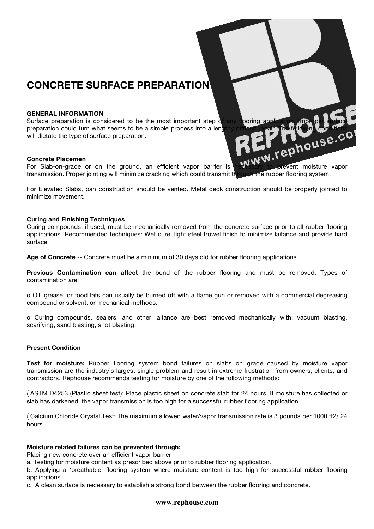# **CONCRETE SURFACE PREPARATION**

#### **GENERAL INFORMATION**

Surface preparation is considered to be the most important step of any flooring application. Improper surface preparation could turn what seems to be a simple process into a lengthy difficult repair. The following conditions<br>will dictate the type of surface preparation:<br>Concrete Placemen<br>For Skith will dictate the type of surface preparation:

#### **Concrete Placemen**

For Slab-on-grade or on the ground, an efficient vapor barrier is necessary to prevent moisture vapor transmission. Proper jointing will minimize cracking which could transmit through the rubber flooring system.

For Elevated Slabs, pan construction should be vented. Metal deck construction should be properly jointed to minimize movement.

#### **Curing and Finishing Techniques**

Curing compounds, if used, must be mechanically removed from the concrete surface prior to all rubber flooring applications. Recommended techniques: Wet cure, light steel trowel finish to minimize laitance and provide hard surface

**Age of Concrete** -- Concrete must be a minimum of 30 days old for rubber flooring applications.

**Previous Contamination can affect** the bond of the rubber flooring and must be removed. Types of contamination are:

o Oil, grease, or food fats can usually be burned off with a flame gun or removed with a commercial degreasing compound or solvent, or mechanical methods.

o Curing compounds, sealers, and other laitance are best removed mechanically with: vacuum blasting, scarifying, sand blasting, shot blasting.

### **Present Condition**

**Test for moisture:** Rubber flooring system bond failures on slabs on grade caused by moisture vapor transmission are the industry's largest single problem and result in extreme frustration from owners, clients, and contractors. Rephouse recommends testing for moisture by one of the following methods:

〈 ASTM D4253 (Plastic sheet test): Place plastic sheet on concrete stab for 24 hours. If moisture has collected or slab has darkened, the vapor transmission is too high for a successful rubber flooring application

〈 Calcium Chloride Crystal Test: The maximum allowed water/vapor transmission rate is 3 pounds per 1000 ft2/ 24 hours.

# **Moisture related failures can be prevented through:**

Placing new concrete over an efficient vapor barrier

a. Testing for moisture content as prescribed above prior to rubber flooring application.

b. Applying a 'breathable' flooring system where moisture content is too high for successful rubber flooring applications

c. A clean surface is necessary to establish a strong bond between the rubber flooring and concrete.

# **www.rephouse.com**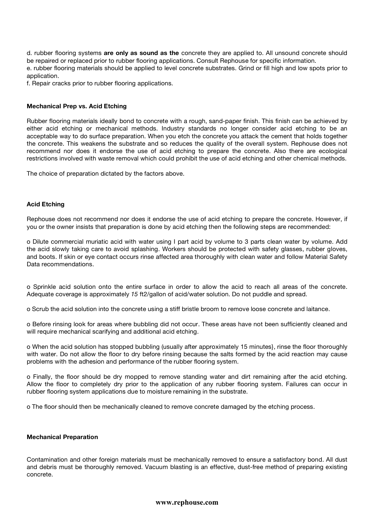d. rubber flooring systems **are only as sound as the** concrete they are applied to. All unsound concrete should be repaired or replaced prior to rubber flooring applications. Consult Rephouse for specific information. e. rubber flooring materials should be applied to level concrete substrates. Grind or fill high and low spots prior to application.

f. Repair cracks prior to rubber flooring applications.

#### **Mechanical Prep vs. Acid Etching**

Rubber flooring materials ideally bond to concrete with a rough, sand-paper finish. This finish can be achieved by either acid etching or mechanical methods. Industry standards no longer consider acid etching to be an acceptable way to do surface preparation. When you etch the concrete you attack the cement that holds together the concrete. This weakens the substrate and so reduces the quality of the overall system. Rephouse does not recommend nor does it endorse the use of acid etching to prepare the concrete. Also there are ecological restrictions involved with waste removal which could prohibit the use of acid etching and other chemical methods.

The choice of preparation dictated by the factors above.

# **Acid Etching**

Rephouse does not recommend nor does it endorse the use of acid etching to prepare the concrete. However, if you or the owner insists that preparation is done by acid etching then the following steps are recommended:

o Dilute commercial muriatic acid with water using I part acid by volume to 3 parts clean water by volume. Add the acid slowly taking care to avoid splashing. Workers should be protected with safety glasses, rubber gloves, and boots. If skin or eye contact occurs rinse affected area thoroughly with clean water and follow Material Safety Data recommendations.

o Sprinkle acid solution onto the entire surface in order to allow the acid to reach all areas of the concrete. Adequate coverage is approximately *15* ft2/gallon of acid/water solution. Do not puddle and spread.

o Scrub the acid solution into the concrete using a stiff bristle broom to remove loose concrete and laitance.

o Before rinsing look for areas where bubbling did not occur. These areas have not been sufficiently cleaned and will require mechanical scarifying and additional acid etching.

o When the acid solution has stopped bubbling (usually after approximately 15 minutes}, rinse the floor thoroughly with water. Do not allow the floor to dry before rinsing because the salts formed by the acid reaction may cause problems with the adhesion and performance of the rubber flooring system.

o Finally, the floor should be dry mopped to remove standing water and dirt remaining after the acid etching. Allow the floor to completely dry prior to the application of any rubber flooring system. Failures can occur in rubber flooring system applications due to moisture remaining in the substrate.

o The floor should then be mechanically cleaned to remove concrete damaged by the etching process.

#### **Mechanical Preparation**

Contamination and other foreign materials must be mechanically removed to ensure a satisfactory bond. All dust and debris must be thoroughly removed. Vacuum blasting is an effective, dust-free method of preparing existing concrete.

#### **www.rephouse.com**